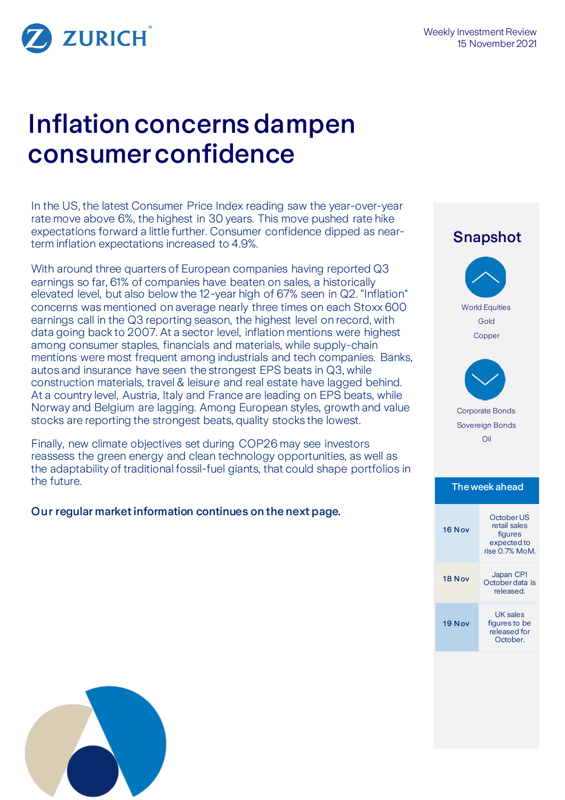

# Inflation concerns dampen consumer confidence

In the US, the latest Consumer Price Index reading saw the year-over-year rate move above 6%, the highest in 30 years. This move pushed rate hike expectations forward a little further. Consumer confidence dipped as nearterm inflation expectations increased to 4.9%.

With around three quarters of European companies having reported Q3 earnings so far, 61% of companies have beaten on sales, a historically elevated level, but also below the 12-year high of 67% seen in Q2. "Inflation" concerns was mentioned on average nearly three times on each Stoxx 600 earnings call in the Q3 reporting season, the highest level on record, with data going back to 2007. At a sector level, inflation mentions were highest among consumer staples, financials and materials, while supply-chain mentions were most frequent among industrials and tech companies. Banks, autos and insurance have seen the strongest EPS beats in Q3, while construction materials, travel & leisure and real estate have lagged behind. At a country level, Austria, Italy and France are leading on EPS beats, while Norway and Belgium are lagging. Among European styles, growth and value stocks are reporting the strongest beats, quality stocks the lowest.

Finally, new climate objectives set during COP26 may see investors reassess the green energy and clean technology opportunities, as well as the adaptability of traditional fossil-fuel giants, that could shape portfolios in the future.

### Our regular market information continues on the next page.

## Snapshot World Equities Gold **Copper** Corporate Bonds Sovereign Bonds Oil The week ahead 16 Nov October US retail sales figures expected to rise 0.7% MoM. 18 Nov Japan CPI October data is released.

19 N ov

UK sales figures to be released for October.